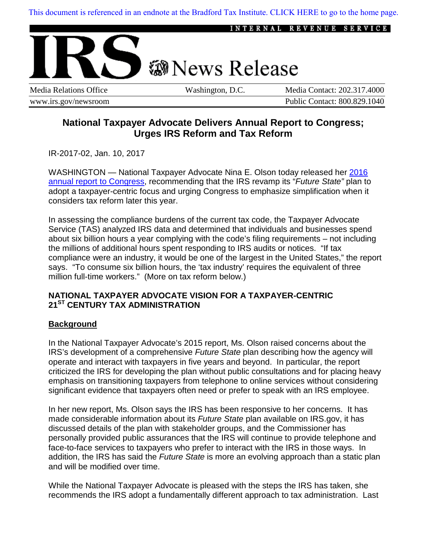[This document is referenced in an endnote at the Bradford Tax Institute. CLICK HERE to go to the home page.](www.bradfordtaxinstitute.com) 



www.irs.gov/newsroom Public Contact: 800.829.1040

# **National Taxpayer Advocate Delivers Annual Report to Congress; Urges IRS Reform and Tax Reform**

IR-2017-02, Jan. 10, 2017

WASHINGTON — National Taxpayer Advocate Nina E. Olson today released her 2016 [annual report to Congress,](http://www.taxpayeradvocate.irs.gov/reports/2016-annual-report-to-congress/full-report) recommending that the IRS revamp its "*Future State"* plan to adopt a taxpayer-centric focus and urging Congress to emphasize simplification when it considers tax reform later this year.

In assessing the compliance burdens of the current tax code, the Taxpayer Advocate Service (TAS) analyzed IRS data and determined that individuals and businesses spend about six billion hours a year complying with the code's filing requirements – not including the millions of additional hours spent responding to IRS audits or notices. "If tax compliance were an industry, it would be one of the largest in the United States," the report says. "To consume six billion hours, the 'tax industry' requires the equivalent of three million full-time workers." (More on tax reform below.)

## **NATIONAL TAXPAYER ADVOCATE VISION FOR A TAXPAYER-CENTRIC 21ST CENTURY TAX ADMINISTRATION**

## **Background**

In the National Taxpayer Advocate's 2015 report, Ms. Olson raised concerns about the IRS's development of a comprehensive *Future State* plan describing how the agency will operate and interact with taxpayers in five years and beyond. In particular, the report criticized the IRS for developing the plan without public consultations and for placing heavy emphasis on transitioning taxpayers from telephone to online services without considering significant evidence that taxpayers often need or prefer to speak with an IRS employee.

In her new report, Ms. Olson says the IRS has been responsive to her concerns. It has made considerable information about its *Future State* plan available on IRS.gov, it has discussed details of the plan with stakeholder groups, and the Commissioner has personally provided public assurances that the IRS will continue to provide telephone and face-to-face services to taxpayers who prefer to interact with the IRS in those ways. In addition, the IRS has said the *Future State* is more an evolving approach than a static plan and will be modified over time.

While the National Taxpayer Advocate is pleased with the steps the IRS has taken, she recommends the IRS adopt a fundamentally different approach to tax administration. Last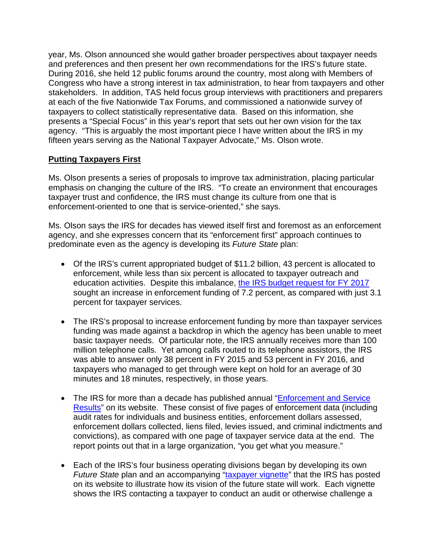year, Ms. Olson announced she would gather broader perspectives about taxpayer needs and preferences and then present her own recommendations for the IRS's future state. During 2016, she held 12 public forums around the country, most along with Members of Congress who have a strong interest in tax administration, to hear from taxpayers and other stakeholders. In addition, TAS held focus group interviews with practitioners and preparers at each of the five Nationwide Tax Forums, and commissioned a nationwide survey of taxpayers to collect statistically representative data. Based on this information, she presents a "Special Focus" in this year's report that sets out her own vision for the tax agency. "This is arguably the most important piece I have written about the IRS in my fifteen years serving as the National Taxpayer Advocate," Ms. Olson wrote.

## **Putting Taxpayers First**

Ms. Olson presents a series of proposals to improve tax administration, placing particular emphasis on changing the culture of the IRS. "To create an environment that encourages taxpayer trust and confidence, the IRS must change its culture from one that is enforcement-oriented to one that is service-oriented," she says.

Ms. Olson says the IRS for decades has viewed itself first and foremost as an enforcement agency, and she expresses concern that its "enforcement first" approach continues to predominate even as the agency is developing its *Future State* plan:

- Of the IRS's current appropriated budget of \$11.2 billion, 43 percent is allocated to enforcement, while less than six percent is allocated to taxpayer outreach and education activities. Despite this imbalance, [the IRS budget request for FY 2017](https://www.treasury.gov/about/budget-performance/budget-in-brief/BIB17/13.%20IRS%20FY%202017%20BIB%20v2-1.pdf) sought an increase in enforcement funding of 7.2 percent, as compared with just 3.1 percent for taxpayer services.
- The IRS's proposal to increase enforcement funding by more than taxpayer services funding was made against a backdrop in which the agency has been unable to meet basic taxpayer needs. Of particular note, the IRS annually receives more than 100 million telephone calls. Yet among calls routed to its telephone assistors, the IRS was able to answer only 38 percent in FY 2015 and 53 percent in FY 2016, and taxpayers who managed to get through were kept on hold for an average of 30 minutes and 18 minutes, respectively, in those years.
- The IRS for more than a decade has published annual "**Enforcement and Service** [Results"](https://www.irs.gov/pub/newsroom/fy2015enforcementandserviceresults2015.pdf) on its website. These consist of five pages of enforcement data (including audit rates for individuals and business entities, enforcement dollars assessed, enforcement dollars collected, liens filed, levies issued, and criminal indictments and convictions), as compared with one page of taxpayer service data at the end. The report points out that in a large organization, "you get what you measure."
- Each of the IRS's four business operating divisions began by developing its own *Future State* plan and an accompanying ["taxpayer vignette"](https://www.irs.gov/uac/newsroom/future-state-and-irs-activities) that the IRS has posted on its website to illustrate how its vision of the future state will work. Each vignette shows the IRS contacting a taxpayer to conduct an audit or otherwise challenge a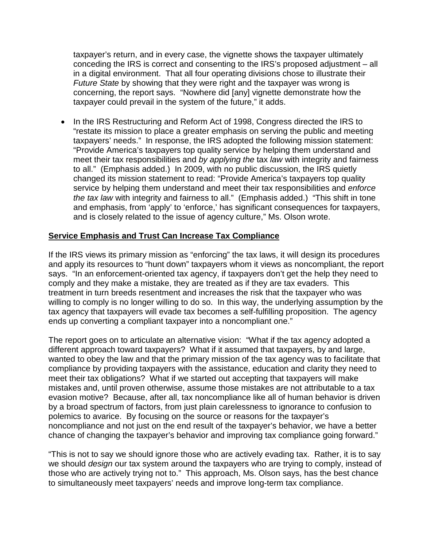taxpayer's return, and in every case, the vignette shows the taxpayer ultimately conceding the IRS is correct and consenting to the IRS's proposed adjustment – all in a digital environment. That all four operating divisions chose to illustrate their *Future State* by showing that they were right and the taxpayer was wrong is concerning, the report says. "Nowhere did [any] vignette demonstrate how the taxpayer could prevail in the system of the future," it adds.

• In the IRS Restructuring and Reform Act of 1998, Congress directed the IRS to "restate its mission to place a greater emphasis on serving the public and meeting taxpayers' needs." In response, the IRS adopted the following mission statement: "Provide America's taxpayers top quality service by helping them understand and meet their tax responsibilities and *by applying the* tax *law* with integrity and fairness to all." (Emphasis added.) In 2009, with no public discussion, the IRS quietly changed its mission statement to read: "Provide America's taxpayers top quality service by helping them understand and meet their tax responsibilities and *enforce the tax law* with integrity and fairness to all." (Emphasis added.) "This shift in tone and emphasis, from 'apply' to 'enforce,' has significant consequences for taxpayers, and is closely related to the issue of agency culture," Ms. Olson wrote.

#### **Service Emphasis and Trust Can Increase Tax Compliance**

If the IRS views its primary mission as "enforcing" the tax laws, it will design its procedures and apply its resources to "hunt down" taxpayers whom it views as noncompliant, the report says. "In an enforcement-oriented tax agency, if taxpayers don't get the help they need to comply and they make a mistake, they are treated as if they are tax evaders. This treatment in turn breeds resentment and increases the risk that the taxpayer who was willing to comply is no longer willing to do so. In this way, the underlying assumption by the tax agency that taxpayers will evade tax becomes a self-fulfilling proposition. The agency ends up converting a compliant taxpayer into a noncompliant one."

The report goes on to articulate an alternative vision: "What if the tax agency adopted a different approach toward taxpayers? What if it assumed that taxpayers, by and large, wanted to obey the law and that the primary mission of the tax agency was to facilitate that compliance by providing taxpayers with the assistance, education and clarity they need to meet their tax obligations? What if we started out accepting that taxpayers will make mistakes and, until proven otherwise, assume those mistakes are not attributable to a tax evasion motive? Because, after all, tax noncompliance like all of human behavior is driven by a broad spectrum of factors, from just plain carelessness to ignorance to confusion to polemics to avarice. By focusing on the source or reasons for the taxpayer's noncompliance and not just on the end result of the taxpayer's behavior, we have a better chance of changing the taxpayer's behavior and improving tax compliance going forward."

"This is not to say we should ignore those who are actively evading tax. Rather, it is to say we should *design* our tax system around the taxpayers who are trying to comply, instead of those who are actively trying not to." This approach, Ms. Olson says, has the best chance to simultaneously meet taxpayers' needs and improve long-term tax compliance.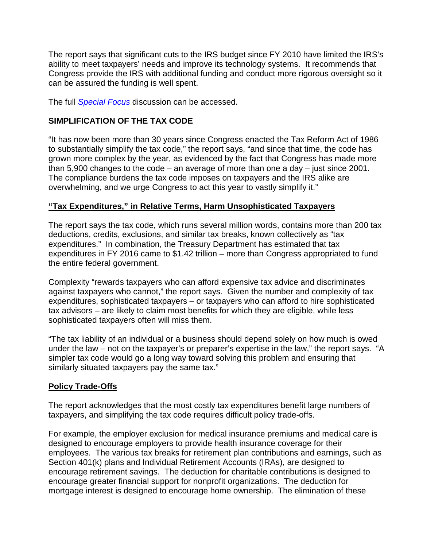The report says that significant cuts to the IRS budget since FY 2010 have limited the IRS's ability to meet taxpayers' needs and improve its technology systems. It recommends that Congress provide the IRS with additional funding and conduct more rigorous oversight so it can be assured the funding is well spent.

The full *[Special Focus](https://taxpayeradvocate.irs.gov/reports/2016-annual-report-to-congress/special-focus)* discussion can be accessed.

#### **SIMPLIFICATION OF THE TAX CODE**

"It has now been more than 30 years since Congress enacted the Tax Reform Act of 1986 to substantially simplify the tax code," the report says, "and since that time, the code has grown more complex by the year, as evidenced by the fact that Congress has made more than 5,900 changes to the code – an average of more than one a day – just since 2001. The compliance burdens the tax code imposes on taxpayers and the IRS alike are overwhelming, and we urge Congress to act this year to vastly simplify it."

#### **"Tax Expenditures," in Relative Terms, Harm Unsophisticated Taxpayers**

The report says the tax code, which runs several million words, contains more than 200 tax deductions, credits, exclusions, and similar tax breaks, known collectively as "tax expenditures." In combination, the Treasury Department has estimated that tax expenditures in FY 2016 came to \$1.42 trillion – more than Congress appropriated to fund the entire federal government.

Complexity "rewards taxpayers who can afford expensive tax advice and discriminates against taxpayers who cannot," the report says. Given the number and complexity of tax expenditures, sophisticated taxpayers – or taxpayers who can afford to hire sophisticated tax advisors – are likely to claim most benefits for which they are eligible, while less sophisticated taxpayers often will miss them.

"The tax liability of an individual or a business should depend solely on how much is owed under the law – not on the taxpayer's or preparer's expertise in the law," the report says. "A simpler tax code would go a long way toward solving this problem and ensuring that similarly situated taxpayers pay the same tax."

## **Policy Trade-Offs**

The report acknowledges that the most costly tax expenditures benefit large numbers of taxpayers, and simplifying the tax code requires difficult policy trade-offs.

For example, the employer exclusion for medical insurance premiums and medical care is designed to encourage employers to provide health insurance coverage for their employees. The various tax breaks for retirement plan contributions and earnings, such as Section 401(k) plans and Individual Retirement Accounts (IRAs), are designed to encourage retirement savings. The deduction for charitable contributions is designed to encourage greater financial support for nonprofit organizations. The deduction for mortgage interest is designed to encourage home ownership. The elimination of these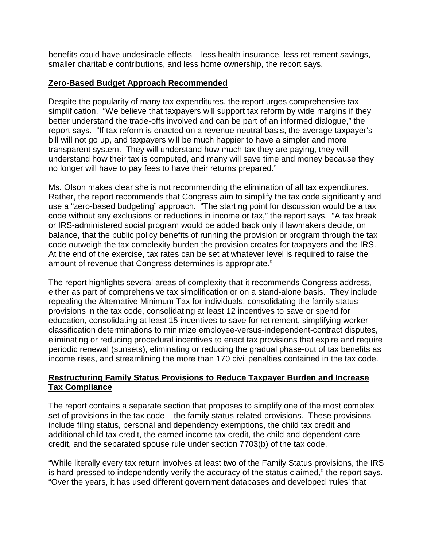benefits could have undesirable effects – less health insurance, less retirement savings, smaller charitable contributions, and less home ownership, the report says.

#### **Zero-Based Budget Approach Recommended**

Despite the popularity of many tax expenditures, the report urges comprehensive tax simplification. "We believe that taxpayers will support tax reform by wide margins if they better understand the trade-offs involved and can be part of an informed dialogue," the report says. "If tax reform is enacted on a revenue-neutral basis, the average taxpayer's bill will not go up, and taxpayers will be much happier to have a simpler and more transparent system. They will understand how much tax they are paying, they will understand how their tax is computed, and many will save time and money because they no longer will have to pay fees to have their returns prepared."

Ms. Olson makes clear she is not recommending the elimination of all tax expenditures. Rather, the report recommends that Congress aim to simplify the tax code significantly and use a "zero-based budgeting" approach. "The starting point for discussion would be a tax code without any exclusions or reductions in income or tax," the report says. "A tax break or IRS-administered social program would be added back only if lawmakers decide, on balance, that the public policy benefits of running the provision or program through the tax code outweigh the tax complexity burden the provision creates for taxpayers and the IRS. At the end of the exercise, tax rates can be set at whatever level is required to raise the amount of revenue that Congress determines is appropriate."

The report highlights several areas of complexity that it recommends Congress address, either as part of comprehensive tax simplification or on a stand-alone basis. They include repealing the Alternative Minimum Tax for individuals, consolidating the family status provisions in the tax code, consolidating at least 12 incentives to save or spend for education, consolidating at least 15 incentives to save for retirement, simplifying worker classification determinations to minimize employee-versus-independent-contract disputes, eliminating or reducing procedural incentives to enact tax provisions that expire and require periodic renewal (sunsets), eliminating or reducing the gradual phase-out of tax benefits as income rises, and streamlining the more than 170 civil penalties contained in the tax code.

## **Restructuring Family Status Provisions to Reduce Taxpayer Burden and Increase Tax Compliance**

The report contains a separate section that proposes to simplify one of the most complex set of provisions in the tax code – the family status-related provisions. These provisions include filing status, personal and dependency exemptions, the child tax credit and additional child tax credit, the earned income tax credit, the child and dependent care credit, and the separated spouse rule under section 7703(b) of the tax code.

"While literally every tax return involves at least two of the Family Status provisions, the IRS is hard-pressed to independently verify the accuracy of the status claimed," the report says. "Over the years, it has used different government databases and developed 'rules' that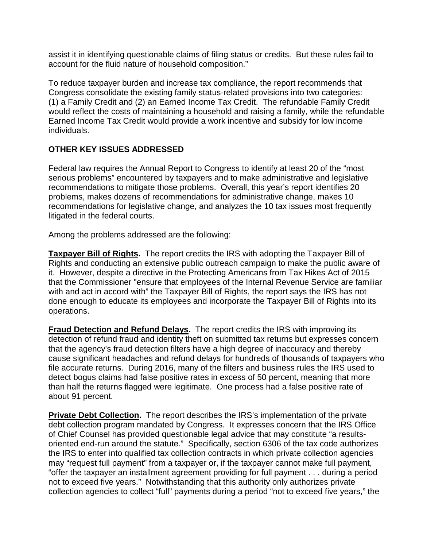assist it in identifying questionable claims of filing status or credits. But these rules fail to account for the fluid nature of household composition."

To reduce taxpayer burden and increase tax compliance, the report recommends that Congress consolidate the existing family status-related provisions into two categories: (1) a Family Credit and (2) an Earned Income Tax Credit. The refundable Family Credit would reflect the costs of maintaining a household and raising a family, while the refundable Earned Income Tax Credit would provide a work incentive and subsidy for low income individuals.

## **OTHER KEY ISSUES ADDRESSED**

Federal law requires the Annual Report to Congress to identify at least 20 of the "most serious problems" encountered by taxpayers and to make administrative and legislative recommendations to mitigate those problems. Overall, this year's report identifies 20 problems, makes dozens of recommendations for administrative change, makes 10 recommendations for legislative change, and analyzes the 10 tax issues most frequently litigated in the federal courts.

Among the problems addressed are the following:

**Taxpayer Bill of Rights.** The report credits the IRS with adopting the Taxpayer Bill of Rights and conducting an extensive public outreach campaign to make the public aware of it. However, despite a directive in the Protecting Americans from Tax Hikes Act of 2015 that the Commissioner "ensure that employees of the Internal Revenue Service are familiar with and act in accord with" the Taxpayer Bill of Rights, the report says the IRS has not done enough to educate its employees and incorporate the Taxpayer Bill of Rights into its operations.

**Fraud Detection and Refund Delays.** The report credits the IRS with improving its detection of refund fraud and identity theft on submitted tax returns but expresses concern that the agency's fraud detection filters have a high degree of inaccuracy and thereby cause significant headaches and refund delays for hundreds of thousands of taxpayers who file accurate returns. During 2016, many of the filters and business rules the IRS used to detect bogus claims had false positive rates in excess of 50 percent, meaning that more than half the returns flagged were legitimate. One process had a false positive rate of about 91 percent.

**Private Debt Collection.** The report describes the IRS's implementation of the private debt collection program mandated by Congress. It expresses concern that the IRS Office of Chief Counsel has provided questionable legal advice that may constitute "a resultsoriented end-run around the statute." Specifically, section 6306 of the tax code authorizes the IRS to enter into qualified tax collection contracts in which private collection agencies may "request full payment" from a taxpayer or, if the taxpayer cannot make full payment, "offer the taxpayer an installment agreement providing for full payment . . . during a period not to exceed five years." Notwithstanding that this authority only authorizes private collection agencies to collect "full" payments during a period "not to exceed five years," the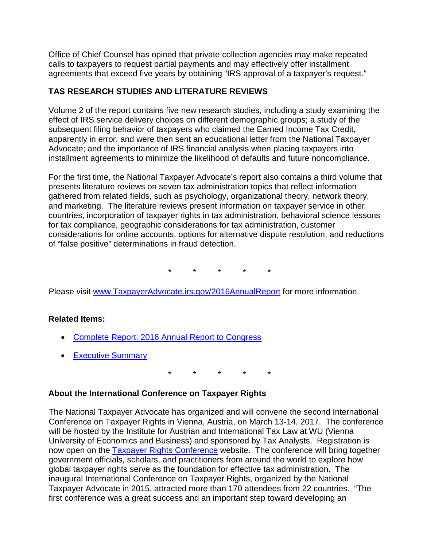Office of Chief Counsel has opined that private collection agencies may make repeated calls to taxpayers to request partial payments and may effectively offer installment agreements that exceed five years by obtaining "IRS approval of a taxpayer's request."

# **TAS RESEARCH STUDIES AND LITERATURE REVIEWS**

Volume 2 of the report contains five new research studies, including a study examining the effect of IRS service delivery choices on different demographic groups; a study of the subsequent filing behavior of taxpayers who claimed the Earned Income Tax Credit, apparently in error, and were then sent an educational letter from the National Taxpayer Advocate; and the importance of IRS financial analysis when placing taxpayers into installment agreements to minimize the likelihood of defaults and future noncompliance.

For the first time, the National Taxpayer Advocate's report also contains a third volume that presents literature reviews on seven tax administration topics that reflect information gathered from related fields, such as psychology, organizational theory, network theory, and marketing. The literature reviews present information on taxpayer service in other countries, incorporation of taxpayer rights in tax administration, behavioral science lessons for tax compliance, geographic considerations for tax administration, customer considerations for online accounts, options for alternative dispute resolution, and reductions of "false positive" determinations in fraud detection.

\* \* \* \* \*

Please visit [www.TaxpayerAdvocate.irs.gov/2016AnnualReport](http://www.taxpayeradvocate.irs.gov/2016AnnualReport) for more information.

## **Related Items:**

- Complete Report: 2016 [Annual Report to Congress](http://www.taxpayeradvocate.irs.gov/reports/2016-annual-report-to-congress/full-report)
- [Executive Summary](https://taxpayeradvocate.irs.gov/Media/Default/Documents/2016-ARC/ARC16_ExecSummary.pdf)

\* \* \* \* \*

#### **About the International Conference on Taxpayer Rights**

The National Taxpayer Advocate has organized and will convene the second International Conference on Taxpayer Rights in Vienna, Austria, on March 13-14, 2017. The conference will be hosted by the Institute for Austrian and International Tax Law at WU (Vienna University of Economics and Business) and sponsored by Tax Analysts. Registration is now open on the [Taxpayer Rights Conference](https://taxpayerrightsconference.com/) website. The conference will bring together government officials, scholars, and practitioners from around the world to explore how global taxpayer rights serve as the foundation for effective tax administration. The inaugural International Conference on Taxpayer Rights, organized by the National Taxpayer Advocate in 2015, attracted more than 170 attendees from 22 countries. "The first conference was a great success and an important step toward developing an